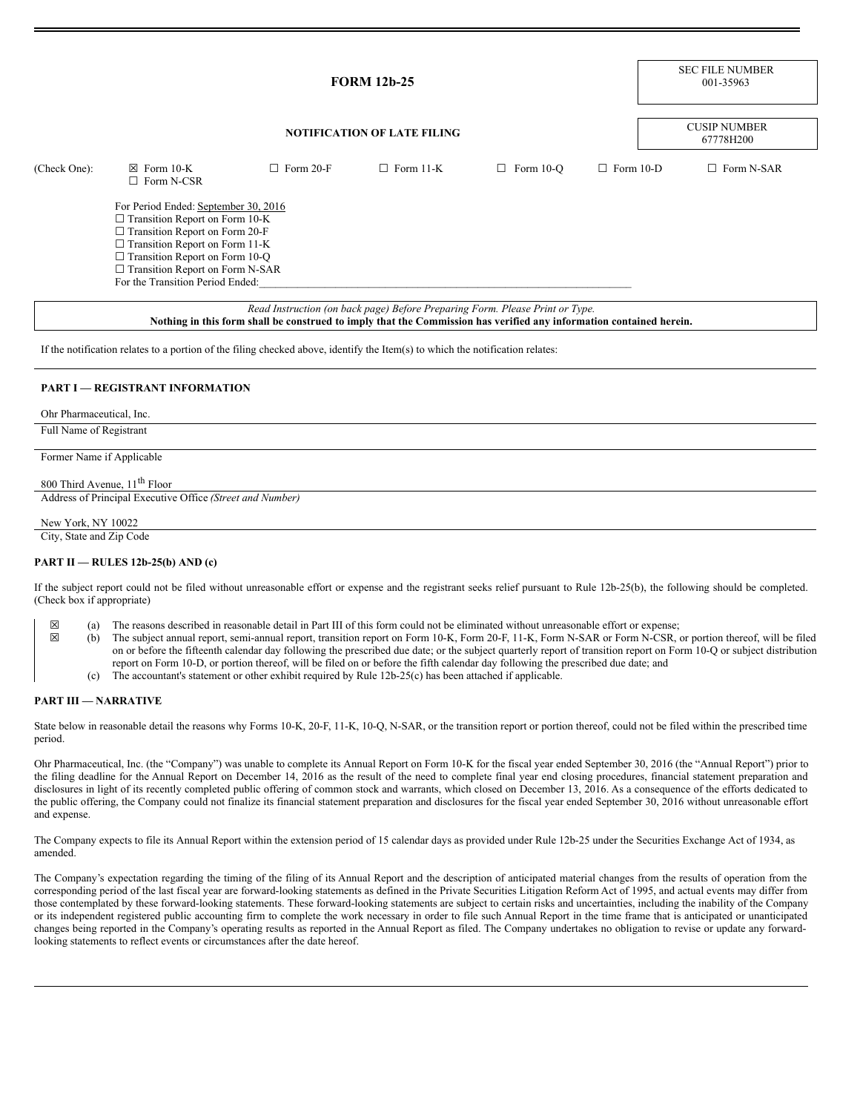|              | <b>FORM 12b-25</b><br><b>NOTIFICATION OF LATE FILING</b>                                                                                                                                                                                                                               |                  |                                                                              |                  |                  | <b>SEC FILE NUMBER</b><br>001-35963 |  |
|--------------|----------------------------------------------------------------------------------------------------------------------------------------------------------------------------------------------------------------------------------------------------------------------------------------|------------------|------------------------------------------------------------------------------|------------------|------------------|-------------------------------------|--|
|              |                                                                                                                                                                                                                                                                                        |                  |                                                                              |                  |                  | <b>CUSIP NUMBER</b><br>67778H200    |  |
| (Check One): | $\boxtimes$ Form 10-K<br>$\Box$ Form N-CSR                                                                                                                                                                                                                                             | $\Box$ Form 20-F | $\Box$ Form 11-K                                                             | $\Box$ Form 10-O | $\Box$ Form 10-D | $\Box$ Form N-SAR                   |  |
|              | For Period Ended: September 30, 2016<br>$\Box$ Transition Report on Form 10-K<br>$\Box$ Transition Report on Form 20-F<br>$\Box$ Transition Report on Form 11-K<br>$\Box$ Transition Report on Form 10-Q<br>$\Box$ Transition Report on Form N-SAR<br>For the Transition Period Ended: |                  |                                                                              |                  |                  |                                     |  |
|              |                                                                                                                                                                                                                                                                                        |                  | Read Instruction (on back page) Before Preparing Form. Please Print or Type. |                  |                  |                                     |  |

Nothing in this form shall be construed to imply that the Commission has verified any information contained herein.

If the notification relates to a portion of the filing checked above, identify the Item(s) to which the notification relates:

#### **PART I — REGISTRANT INFORMATION**

Ohr Pharmaceutical, Inc.

Full Name of Registrant

Former Name if Applicable

800 Third Avenue, 11<sup>th</sup> Floor Address of Principal Executive Office *(Street and Number)*

## New York, NY 10022

City, State and Zip Code

## **PART II — RULES 12b-25(b) AND (c)**

If the subject report could not be filed without unreasonable effort or expense and the registrant seeks relief pursuant to Rule 12b-25(b), the following should be completed. (Check box if appropriate)

- $\boxtimes$  (a) The reasons described in reasonable detail in Part III of this form could not be eliminated without unreasonable effort or expense;<br>(b) The subject annual report, semi-annual report, transition report on Form 10
	- ☒ (b) The subject annual report, semi-annual report, transition report on Form 10-K, Form 20-F, 11-K, Form N-SAR or Form N-CSR, or portion thereof, will be filed on or before the fifteenth calendar day following the prescribed due date; or the subject quarterly report of transition report on Form 10-Q or subject distribution report on Form 10-D, or portion thereof, will be filed on or before the fifth calendar day following the prescribed due date; and
		- (c) The accountant's statement or other exhibit required by Rule 12b-25(c) has been attached if applicable.

#### **PART III — NARRATIVE**

State below in reasonable detail the reasons why Forms 10-K, 20-F, 11-K, 10-Q, N-SAR, or the transition report or portion thereof, could not be filed within the prescribed time period.

Ohr Pharmaceutical, Inc. (the "Company") was unable to complete its Annual Report on Form 10-K for the fiscal year ended September 30, 2016 (the "Annual Report") prior to the filing deadline for the Annual Report on December 14, 2016 as the result of the need to complete final year end closing procedures, financial statement preparation and disclosures in light of its recently completed public offering of common stock and warrants, which closed on December 13, 2016. As a consequence of the efforts dedicated to the public offering, the Company could not finalize its financial statement preparation and disclosures for the fiscal year ended September 30, 2016 without unreasonable effort and expense.

The Company expects to file its Annual Report within the extension period of 15 calendar days as provided under Rule 12b-25 under the Securities Exchange Act of 1934, as amended.

The Company's expectation regarding the timing of the filing of its Annual Report and the description of anticipated material changes from the results of operation from the corresponding period of the last fiscal year are forward-looking statements as defined in the Private Securities Litigation Reform Act of 1995, and actual events may differ from those contemplated by these forward-looking statements. These forward-looking statements are subject to certain risks and uncertainties, including the inability of the Company or its independent registered public accounting firm to complete the work necessary in order to file such Annual Report in the time frame that is anticipated or unanticipated changes being reported in the Company's operating results as reported in the Annual Report as filed. The Company undertakes no obligation to revise or update any forwardlooking statements to reflect events or circumstances after the date hereof.